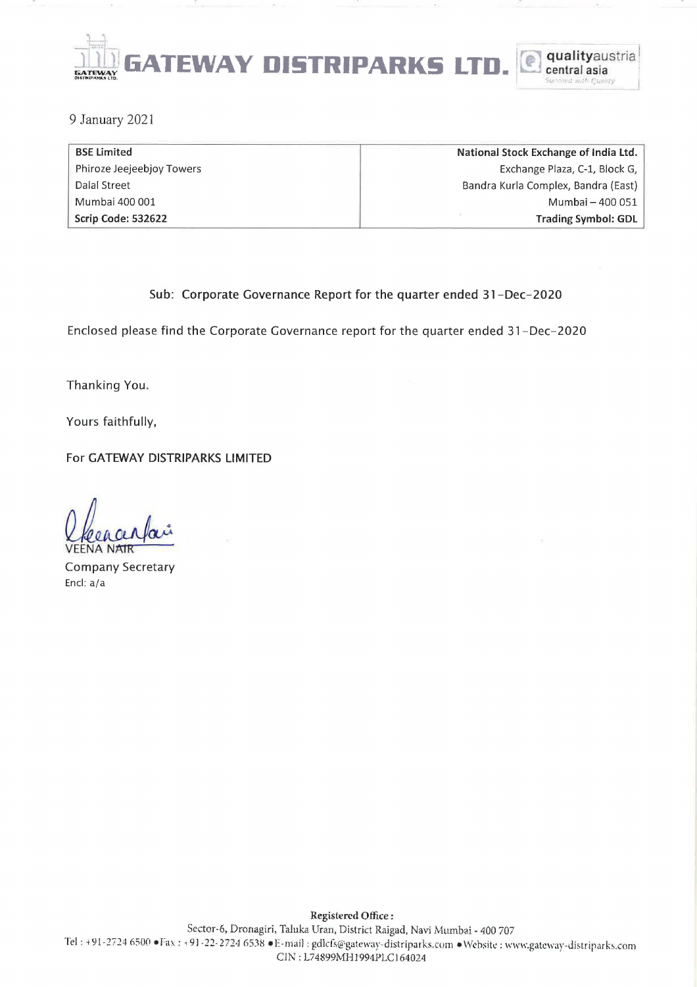

9 January 2021

| <b>BSE Limited</b>        | National Stock Exchange of India Ltd. |
|---------------------------|---------------------------------------|
| Phiroze Jeejeebjoy Towers | Exchange Plaza, C-1, Block G,         |
| Dalal Street              | Bandra Kurla Complex, Bandra (East)   |
| Mumbai 400 001            | Mumbai – 400 051                      |
| Scrip Code: 532622        | <b>Trading Symbol: GDL</b>            |

## Sub: Corporate Governance Report for the quarter ended 31-Dec-2020

Enclosed please find the Corporate Governance report for the quarter ended 31-Dec-2020

Thanking You.

Yours faithfully,

For GATEWAY DISTRIPARKS LIMITED

L/ceaceptain

Company Secretary Encl: a/a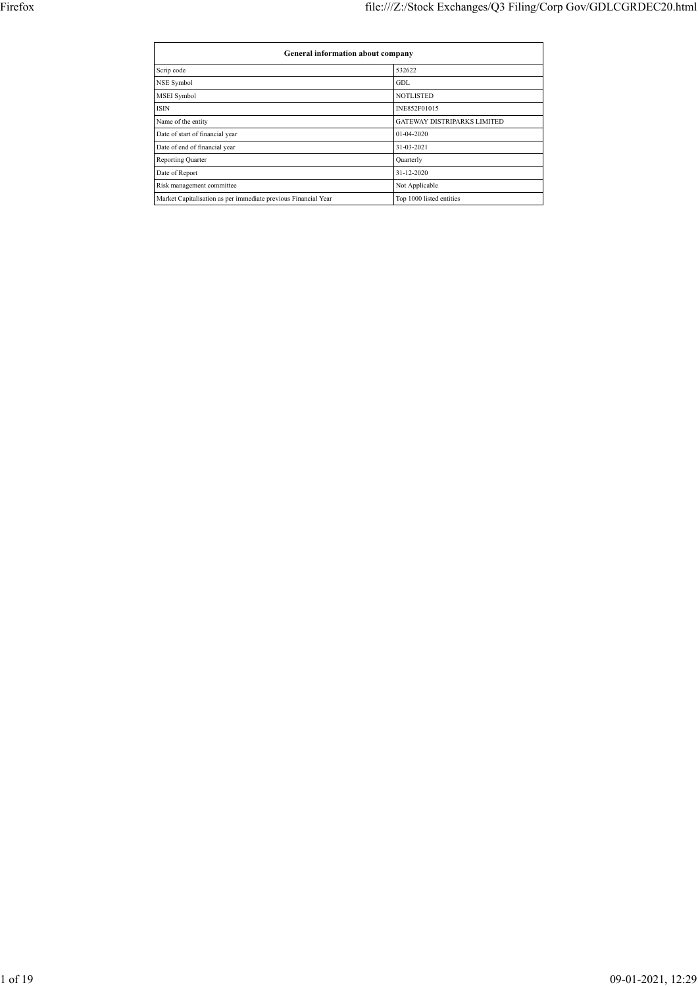| <b>General information about company</b>                       |                                    |  |  |  |  |  |  |
|----------------------------------------------------------------|------------------------------------|--|--|--|--|--|--|
| Scrip code                                                     | 532622                             |  |  |  |  |  |  |
| NSE Symbol                                                     | GDL.                               |  |  |  |  |  |  |
| <b>MSEI</b> Symbol                                             | <b>NOTLISTED</b>                   |  |  |  |  |  |  |
| <b>ISIN</b>                                                    | INE852F01015                       |  |  |  |  |  |  |
| Name of the entity                                             | <b>GATEWAY DISTRIPARKS LIMITED</b> |  |  |  |  |  |  |
| Date of start of financial year                                | 01-04-2020                         |  |  |  |  |  |  |
| Date of end of financial year                                  | 31-03-2021                         |  |  |  |  |  |  |
| Reporting Quarter                                              | Quarterly                          |  |  |  |  |  |  |
| Date of Report                                                 | 31-12-2020                         |  |  |  |  |  |  |
| Risk management committee                                      | Not Applicable                     |  |  |  |  |  |  |
| Market Capitalisation as per immediate previous Financial Year | Top 1000 listed entities           |  |  |  |  |  |  |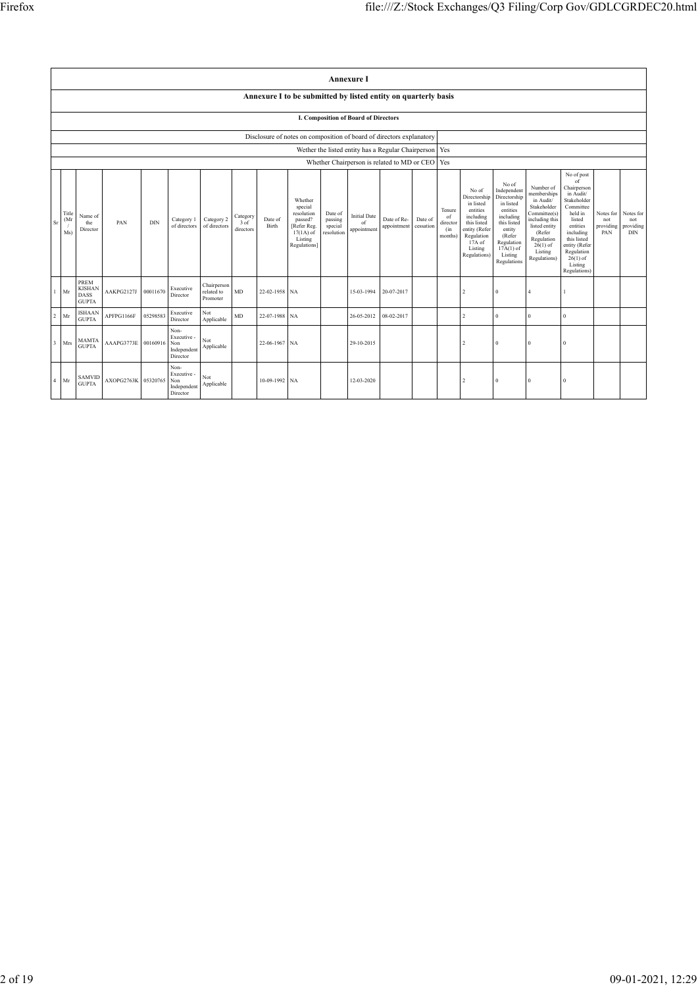|                                      |                     | <b>Annexure I</b>                                           |                     |            |                                                       |                                       |                                 |                  |                                                                                                      |                                             |                                                    |                            |                      |                                            |                                                                                                                                                |                                                                                                                                                                      |                                                                                                                                                                          |                                                                                                                                                                                                               |                                      |                                             |
|--------------------------------------|---------------------|-------------------------------------------------------------|---------------------|------------|-------------------------------------------------------|---------------------------------------|---------------------------------|------------------|------------------------------------------------------------------------------------------------------|---------------------------------------------|----------------------------------------------------|----------------------------|----------------------|--------------------------------------------|------------------------------------------------------------------------------------------------------------------------------------------------|----------------------------------------------------------------------------------------------------------------------------------------------------------------------|--------------------------------------------------------------------------------------------------------------------------------------------------------------------------|---------------------------------------------------------------------------------------------------------------------------------------------------------------------------------------------------------------|--------------------------------------|---------------------------------------------|
|                                      |                     |                                                             |                     |            |                                                       |                                       |                                 |                  | Annexure I to be submitted by listed entity on quarterly basis                                       |                                             |                                                    |                            |                      |                                            |                                                                                                                                                |                                                                                                                                                                      |                                                                                                                                                                          |                                                                                                                                                                                                               |                                      |                                             |
| I. Composition of Board of Directors |                     |                                                             |                     |            |                                                       |                                       |                                 |                  |                                                                                                      |                                             |                                                    |                            |                      |                                            |                                                                                                                                                |                                                                                                                                                                      |                                                                                                                                                                          |                                                                                                                                                                                                               |                                      |                                             |
|                                      |                     |                                                             |                     |            |                                                       |                                       |                                 |                  | Disclosure of notes on composition of board of directors explanatory                                 |                                             |                                                    |                            |                      |                                            |                                                                                                                                                |                                                                                                                                                                      |                                                                                                                                                                          |                                                                                                                                                                                                               |                                      |                                             |
|                                      |                     |                                                             |                     |            |                                                       |                                       |                                 |                  |                                                                                                      |                                             | Wether the listed entity has a Regular Chairperson |                            |                      | Yes                                        |                                                                                                                                                |                                                                                                                                                                      |                                                                                                                                                                          |                                                                                                                                                                                                               |                                      |                                             |
|                                      |                     |                                                             |                     |            |                                                       |                                       |                                 |                  |                                                                                                      |                                             | Whether Chairperson is related to MD or CEO        |                            |                      | Yes                                        |                                                                                                                                                |                                                                                                                                                                      |                                                                                                                                                                          |                                                                                                                                                                                                               |                                      |                                             |
| Sr                                   | Title<br>(Mr<br>Ms) | Name of<br>the<br>Director                                  | PAN                 | <b>DIN</b> | Category 1<br>of directors                            | Category 2<br>of directors            | Category<br>$3$ of<br>directors | Date of<br>Birth | Whether<br>special<br>resolution<br>passed?<br>[Refer Reg.<br>$17(1A)$ of<br>Listing<br>Regulations] | Date of<br>passing<br>special<br>resolution | <b>Initial Date</b><br>of<br>appointment           | Date of Re-<br>appointment | Date of<br>cessation | Tenure<br>of<br>director<br>(in<br>months) | No of<br>Directorship<br>in listed<br>entities<br>including<br>this listed<br>entity (Refer<br>Regulation<br>17A of<br>Listing<br>Regulations) | No of<br>Independent<br>Directorship<br>in listed<br>entities<br>including<br>this listed<br>entity<br>(Refer<br>Regulation<br>$17A(1)$ of<br>Listing<br>Regulations | Number of<br>memberships<br>in Audit/<br>Stakeholder<br>Committee(s)<br>including this<br>listed entity<br>(Refer<br>Regulation<br>$26(1)$ of<br>Listing<br>Regulations) | No of post<br>of<br>Chairperson<br>in Audit/<br>Stakeholder<br>Committee<br>held in<br>listed<br>entities<br>including<br>this listed<br>entity (Refer<br>Regulation<br>$26(1)$ of<br>Listing<br>Regulations) | Notes for<br>not<br>providing<br>PAN | Notes for<br>not<br>providing<br><b>DIN</b> |
| $\mathbf{1}$                         | Mr                  | <b>PREM</b><br><b>KISHAN</b><br><b>DASS</b><br><b>GUPTA</b> | AAKPG2127J          | 00011670   | Executive<br>Director                                 | Chairperson<br>related to<br>Promoter | MD                              | 22-02-1958 NA    |                                                                                                      |                                             | 15-03-1994                                         | 20-07-2017                 |                      |                                            | $\mathfrak{D}$                                                                                                                                 | $\theta$                                                                                                                                                             |                                                                                                                                                                          |                                                                                                                                                                                                               |                                      |                                             |
| $\overline{2}$                       | Mr                  | <b>ISHAAN</b><br><b>GUPTA</b>                               | APFPG1166F          | 05298583   | Executive<br>Director                                 | Not<br>Applicable                     | MD                              | 22-07-1988 NA    |                                                                                                      |                                             | 26-05-2012                                         | 08-02-2017                 |                      |                                            | $\overline{c}$                                                                                                                                 | $\bf{0}$                                                                                                                                                             | $\Omega$                                                                                                                                                                 | $\mathbf{0}$                                                                                                                                                                                                  |                                      |                                             |
| $\overline{\mathbf{3}}$              | Mrs                 | <b>MAMTA</b><br><b>GUPTA</b>                                | AAAPG3773E          | 00160916   | Non-<br>Executive -<br>Non<br>Independent<br>Director | Not<br>Applicable                     |                                 | 22-06-1967 NA    |                                                                                                      |                                             | 29-10-2015                                         |                            |                      |                                            | $\mathfrak{D}$                                                                                                                                 | $\theta$                                                                                                                                                             | $\Omega$                                                                                                                                                                 | $\Omega$                                                                                                                                                                                                      |                                      |                                             |
| $\overline{4}$                       | Mr                  | <b>SAMVID</b><br><b>GUPTA</b>                               | AXOPG2763K 05320765 |            | Non-<br>Executive -<br>Non<br>Independent<br>Director | Not<br>Applicable                     |                                 | 10-09-1992 NA    |                                                                                                      |                                             | 12-03-2020                                         |                            |                      |                                            | $\mathfrak{D}$                                                                                                                                 | $\Omega$                                                                                                                                                             |                                                                                                                                                                          | $\Omega$                                                                                                                                                                                                      |                                      |                                             |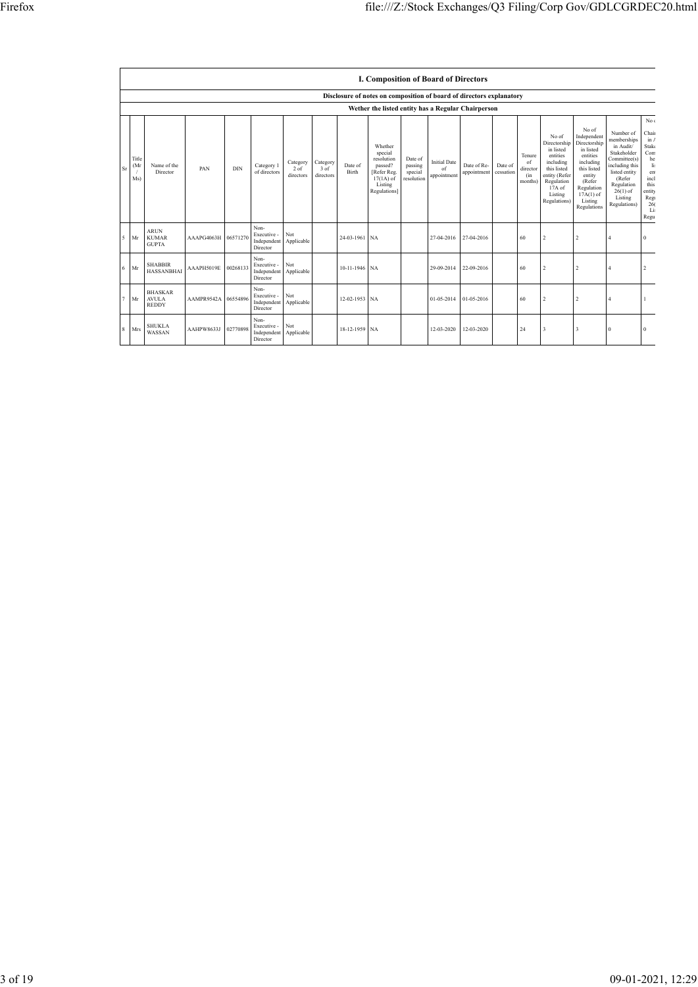|        |                                   |                                                    |            |            |                                                |                                 |                                 |                  | I. Composition of Board of Directors                                                                |                                             |                                          |                            |                      |                                            |                                                                                                                                                  |                                                                                                                                                                      |                                                                                                                                                                          |                                                                                                                                  |
|--------|-----------------------------------|----------------------------------------------------|------------|------------|------------------------------------------------|---------------------------------|---------------------------------|------------------|-----------------------------------------------------------------------------------------------------|---------------------------------------------|------------------------------------------|----------------------------|----------------------|--------------------------------------------|--------------------------------------------------------------------------------------------------------------------------------------------------|----------------------------------------------------------------------------------------------------------------------------------------------------------------------|--------------------------------------------------------------------------------------------------------------------------------------------------------------------------|----------------------------------------------------------------------------------------------------------------------------------|
|        |                                   |                                                    |            |            |                                                |                                 |                                 |                  | Disclosure of notes on composition of board of directors explanatory                                |                                             |                                          |                            |                      |                                            |                                                                                                                                                  |                                                                                                                                                                      |                                                                                                                                                                          |                                                                                                                                  |
|        |                                   | Wether the listed entity has a Regular Chairperson |            |            |                                                |                                 |                                 |                  |                                                                                                     |                                             |                                          |                            |                      |                                            |                                                                                                                                                  |                                                                                                                                                                      |                                                                                                                                                                          |                                                                                                                                  |
| Sr     | Title<br>(M <sub>i</sub> )<br>Ms) | Name of the<br>Director                            | PAN        | <b>DIN</b> | Category 1<br>of directors                     | Category<br>$2$ of<br>directors | Category<br>$3$ of<br>directors | Date of<br>Birth | Whether<br>special<br>resolution<br>passed?<br>Refer Reg.<br>$17(1A)$ of<br>Listing<br>Regulations] | Date of<br>passing<br>special<br>resolution | <b>Initial Date</b><br>of<br>appointment | Date of Re-<br>appointment | Date of<br>cessation | Tenure<br>of<br>director<br>(in<br>months) | No of<br>Directorship<br>in listed<br>entities<br>including<br>this listed<br>entity (Refer<br>Regulation<br>$17A$ of<br>Listing<br>Regulations) | No of<br>Independent<br>Directorship<br>in listed<br>entities<br>including<br>this listed<br>entity<br>(Refer<br>Regulation<br>$17A(1)$ of<br>Listing<br>Regulations | Number of<br>memberships<br>in Audit/<br>Stakeholder<br>Committee(s)<br>including this<br>listed entity<br>(Refer<br>Regulation<br>$26(1)$ of<br>Listing<br>Regulations) | No <sub>6</sub><br>Chair<br>in $\ell$<br>Stake<br>Com<br>he<br>li:<br>ent<br>incl<br>this<br>entity<br>Reg<br>26(<br>Lis<br>Regu |
| 5      | Mr                                | <b>ARUN</b><br><b>KUMAR</b><br><b>GUPTA</b>        | AAAPG4063H | 06571270   | Non-<br>Executive -<br>Independent<br>Director | Not<br>Applicable               |                                 | 24-03-1961 NA    |                                                                                                     |                                             | 27-04-2016                               | 27-04-2016                 |                      | 60                                         | $\overline{2}$                                                                                                                                   | $\overline{2}$                                                                                                                                                       | $\overline{4}$                                                                                                                                                           | $\Omega$                                                                                                                         |
| 6      | Mr                                | <b>SHABBIR</b><br><b>HASSANBHAI</b>                | AAAPH5019E | 00268133   | Non-<br>Executive -<br>Independent<br>Director | Not<br>Applicable               |                                 | 10-11-1946 NA    |                                                                                                     |                                             | 29-09-2014                               | 22-09-2016                 |                      | 60                                         | $\overline{2}$                                                                                                                                   | $\overline{c}$                                                                                                                                                       | $\overline{4}$                                                                                                                                                           | $\mathfrak{D}$                                                                                                                   |
| $\tau$ | Mr                                | <b>BHASKAR</b><br><b>AVULA</b><br><b>REDDY</b>     | AAMPR9542A | 06554896   | Non-<br>Executive -<br>Independent<br>Director | Not<br>Applicable               |                                 | 12-02-1953 NA    |                                                                                                     |                                             | 01-05-2014                               | 01-05-2016                 |                      | 60                                         | $\overline{2}$                                                                                                                                   | $\overline{2}$                                                                                                                                                       | $\Delta$                                                                                                                                                                 |                                                                                                                                  |
| 8      | Mrs                               | <b>SHUKLA</b><br>WASSAN                            | AAHPW8633J | 02770898   | Non-<br>Executive -<br>Independent<br>Director | Not<br>Applicable               |                                 | 18-12-1959 NA    |                                                                                                     |                                             | 12-03-2020                               | 12-03-2020                 |                      | 24                                         | $\overline{\mathbf{3}}$                                                                                                                          | $\ddot{\mathbf{3}}$                                                                                                                                                  | $\Omega$                                                                                                                                                                 | 0                                                                                                                                |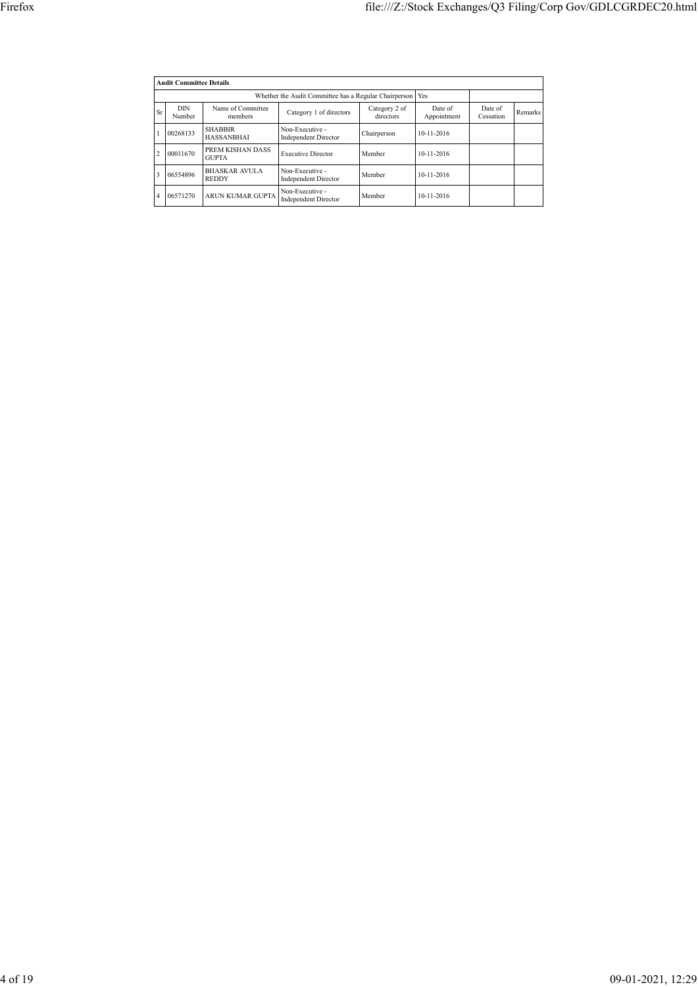|                | <b>Audit Committee Details</b>                               |                                      |                                                |                            |                        |                      |         |  |  |  |  |
|----------------|--------------------------------------------------------------|--------------------------------------|------------------------------------------------|----------------------------|------------------------|----------------------|---------|--|--|--|--|
|                | Whether the Audit Committee has a Regular Chairperson<br>Yes |                                      |                                                |                            |                        |                      |         |  |  |  |  |
| Sr             | <b>DIN</b><br>Number                                         | Name of Committee<br>members         | Category 1 of directors                        | Category 2 of<br>directors | Date of<br>Appointment | Date of<br>Cessation | Remarks |  |  |  |  |
|                | 00268133                                                     | <b>SHABBIR</b><br><b>HASSANBHAI</b>  | Non-Executive -<br><b>Independent Director</b> | Chairperson                | 10-11-2016             |                      |         |  |  |  |  |
| $\overline{c}$ | 00011670                                                     | PREM KISHAN DASS<br><b>GUPTA</b>     | <b>Executive Director</b>                      | Member                     | $10 - 11 - 2016$       |                      |         |  |  |  |  |
| 3              | 06554896                                                     | <b>BHASKAR AVULA</b><br><b>REDDY</b> | Non-Executive -<br><b>Independent Director</b> | Member                     | $10-11-2016$           |                      |         |  |  |  |  |
| 4              | 06571270                                                     | ARUN KUMAR GUPTA                     | Non-Executive -<br><b>Independent Director</b> | Member                     | $10-11-2016$           |                      |         |  |  |  |  |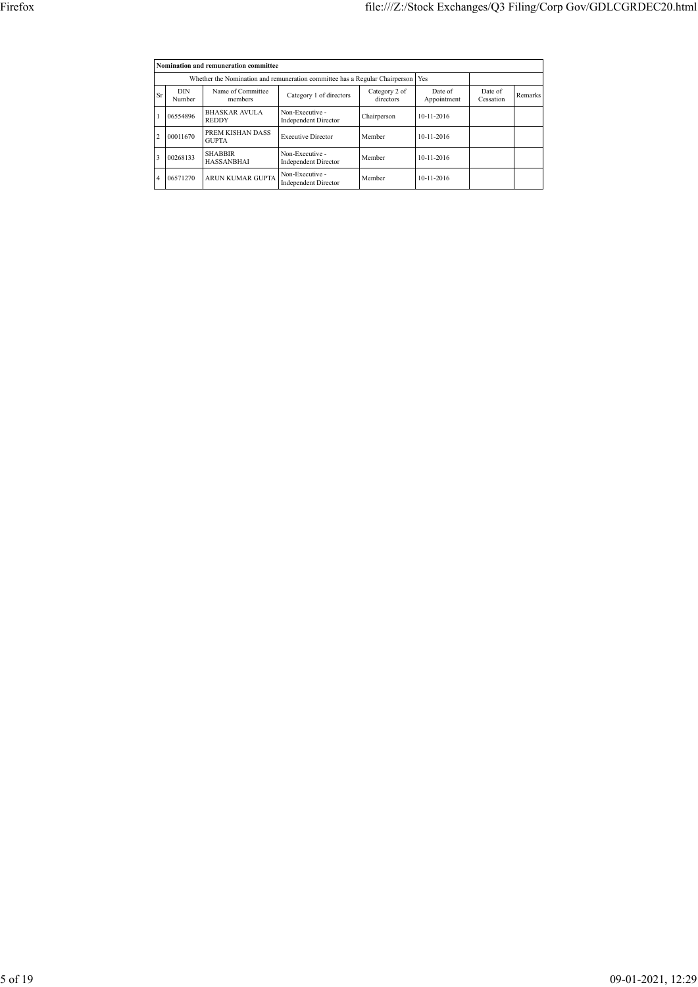|    |                                                                             | Nomination and remuneration committee |                                                |                            |                        |                      |         |
|----|-----------------------------------------------------------------------------|---------------------------------------|------------------------------------------------|----------------------------|------------------------|----------------------|---------|
|    | Whether the Nomination and remuneration committee has a Regular Chairperson |                                       |                                                |                            |                        |                      |         |
| Sr | <b>DIN</b><br>Number                                                        | Name of Committee<br>members          | Category 1 of directors                        | Category 2 of<br>directors | Date of<br>Appointment | Date of<br>Cessation | Remarks |
|    | 06554896                                                                    | <b>BHASKAR AVULA</b><br><b>REDDY</b>  | Non-Executive -<br><b>Independent Director</b> | Chairperson                | $10 - 11 - 2016$       |                      |         |
|    | 00011670                                                                    | PREM KISHAN DASS<br><b>GUPTA</b>      | <b>Executive Director</b>                      | Member                     | 10-11-2016             |                      |         |
| 3  | 00268133                                                                    | <b>SHABBIR</b><br><b>HASSANBHAI</b>   | Non-Executive -<br><b>Independent Director</b> | Member                     | 10-11-2016             |                      |         |
|    | 06571270                                                                    | ARUN KUMAR GUPTA                      | Non-Executive -<br><b>Independent Director</b> | Member                     | 10-11-2016             |                      |         |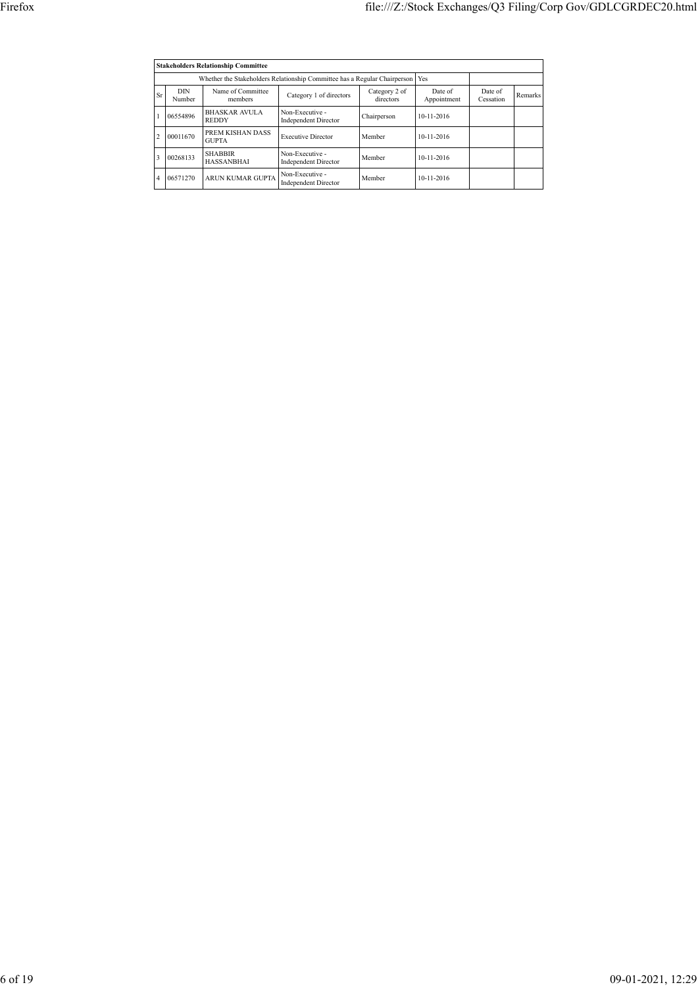|                | <b>Stakeholders Relationship Committee</b>                                      |                                      |                                                |                            |                        |                      |         |  |  |  |  |  |
|----------------|---------------------------------------------------------------------------------|--------------------------------------|------------------------------------------------|----------------------------|------------------------|----------------------|---------|--|--|--|--|--|
|                | Whether the Stakeholders Relationship Committee has a Regular Chairperson   Yes |                                      |                                                |                            |                        |                      |         |  |  |  |  |  |
| Sr             | <b>DIN</b><br>Number                                                            | Name of Committee<br>members         | Category 1 of directors                        | Category 2 of<br>directors | Date of<br>Appointment | Date of<br>Cessation | Remarks |  |  |  |  |  |
|                | 06554896                                                                        | <b>BHASKAR AVULA</b><br><b>REDDY</b> | Non-Executive -<br><b>Independent Director</b> | Chairperson                | $10 - 11 - 2016$       |                      |         |  |  |  |  |  |
| $\overline{c}$ | 00011670                                                                        | PREM KISHAN DASS<br><b>GUPTA</b>     | <b>Executive Director</b>                      | Member                     | 10-11-2016             |                      |         |  |  |  |  |  |
| 3              | 00268133                                                                        | <b>SHABBIR</b><br><b>HASSANBHAI</b>  | Non-Executive -<br><b>Independent Director</b> | Member                     | 10-11-2016             |                      |         |  |  |  |  |  |
| 4              | 06571270                                                                        | ARUN KUMAR GUPTA                     | Non-Executive -<br><b>Independent Director</b> | Member                     | $10 - 11 - 2016$       |                      |         |  |  |  |  |  |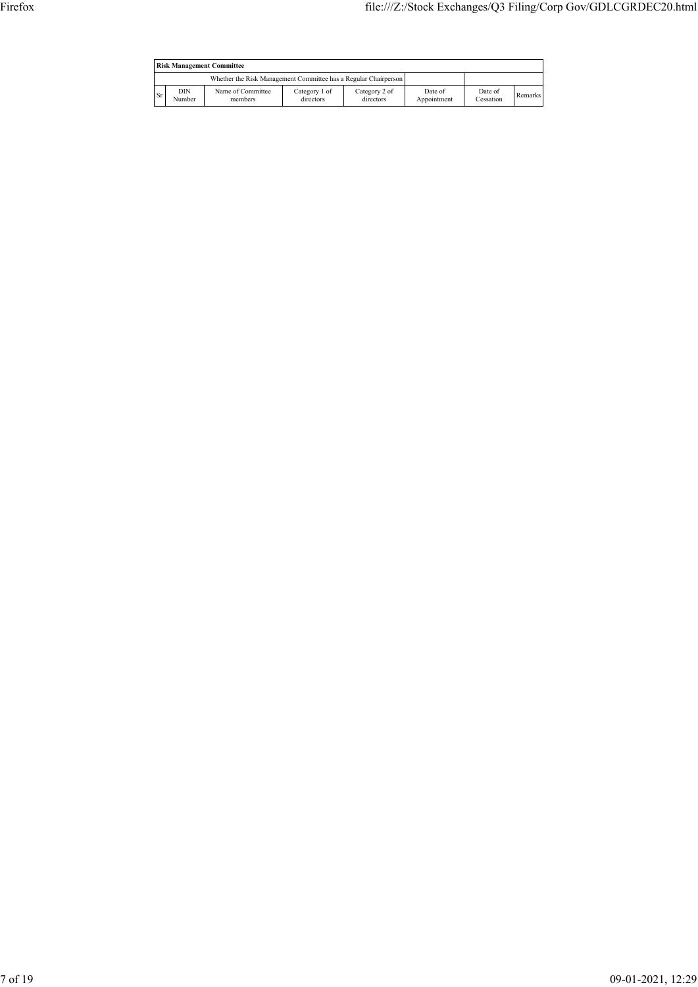|    | <b>Risk Management Committee</b> |                                                                 |                            |                            |                        |                      |         |  |  |  |  |
|----|----------------------------------|-----------------------------------------------------------------|----------------------------|----------------------------|------------------------|----------------------|---------|--|--|--|--|
|    |                                  | Whether the Risk Management Committee has a Regular Chairperson |                            |                            |                        |                      |         |  |  |  |  |
| Sr | DIN<br>Number                    | Name of Committee<br>members                                    | Category 1 of<br>directors | Category 2 of<br>directors | Date of<br>Appointment | Date of<br>Cessation | Remarks |  |  |  |  |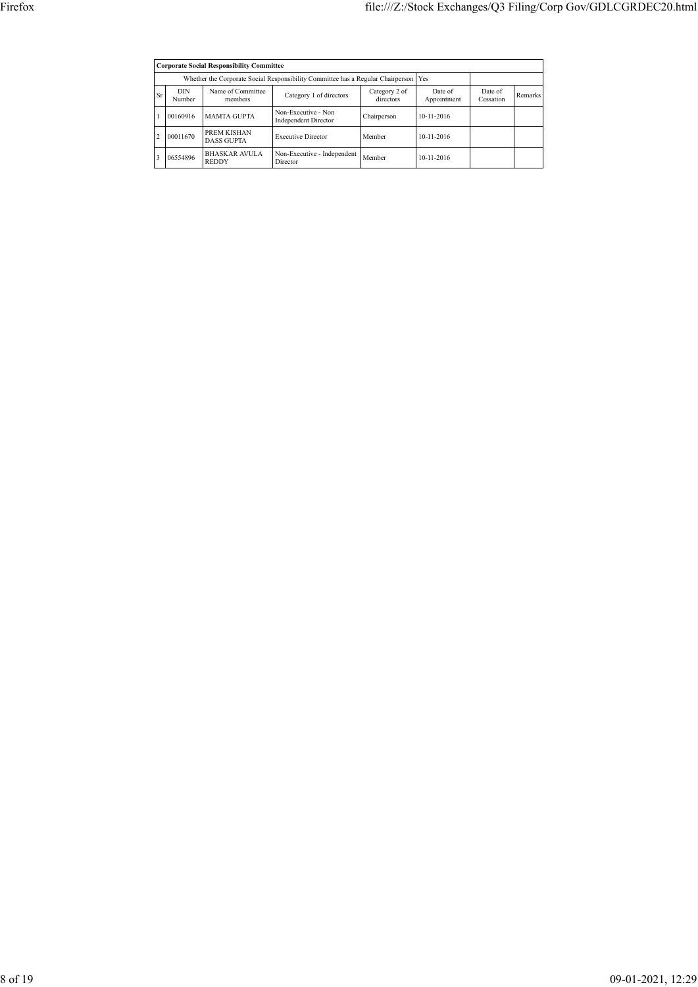|                |                                                                                               | <b>Corporate Social Responsibility Committee</b> |                                                    |                            |                        |                      |         |  |  |  |  |
|----------------|-----------------------------------------------------------------------------------------------|--------------------------------------------------|----------------------------------------------------|----------------------------|------------------------|----------------------|---------|--|--|--|--|
|                | Whether the Corporate Social Responsibility Committee has a Regular Chairperson<br><b>Yes</b> |                                                  |                                                    |                            |                        |                      |         |  |  |  |  |
| Sr             | <b>DIN</b><br>Number                                                                          | Name of Committee<br>members                     | Category 1 of directors                            | Category 2 of<br>directors | Date of<br>Appointment | Date of<br>Cessation | Remarks |  |  |  |  |
|                | 00160916                                                                                      | <b>MAMTA GUPTA</b>                               | Non-Executive - Non<br><b>Independent Director</b> | Chairperson                | $10 - 11 - 2016$       |                      |         |  |  |  |  |
| $\overline{c}$ | 00011670                                                                                      | PREM KISHAN<br><b>DASS GUPTA</b>                 | <b>Executive Director</b>                          | Member                     | 10-11-2016             |                      |         |  |  |  |  |
| 3              | 06554896                                                                                      | <b>BHASKAR AVULA</b><br><b>REDDY</b>             | Non-Executive - Independent<br>Director            | Member                     | 10-11-2016             |                      |         |  |  |  |  |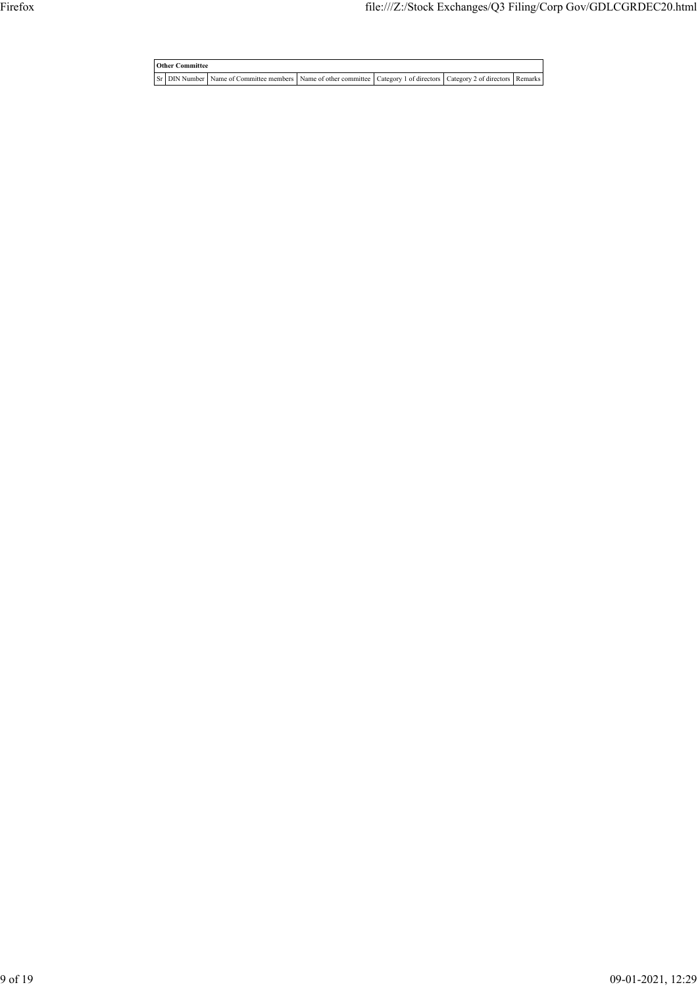**Other Committee** Sr DIN Number Name of Committee members Name of other committee Category 1 of directors Category 2 of directors Remarks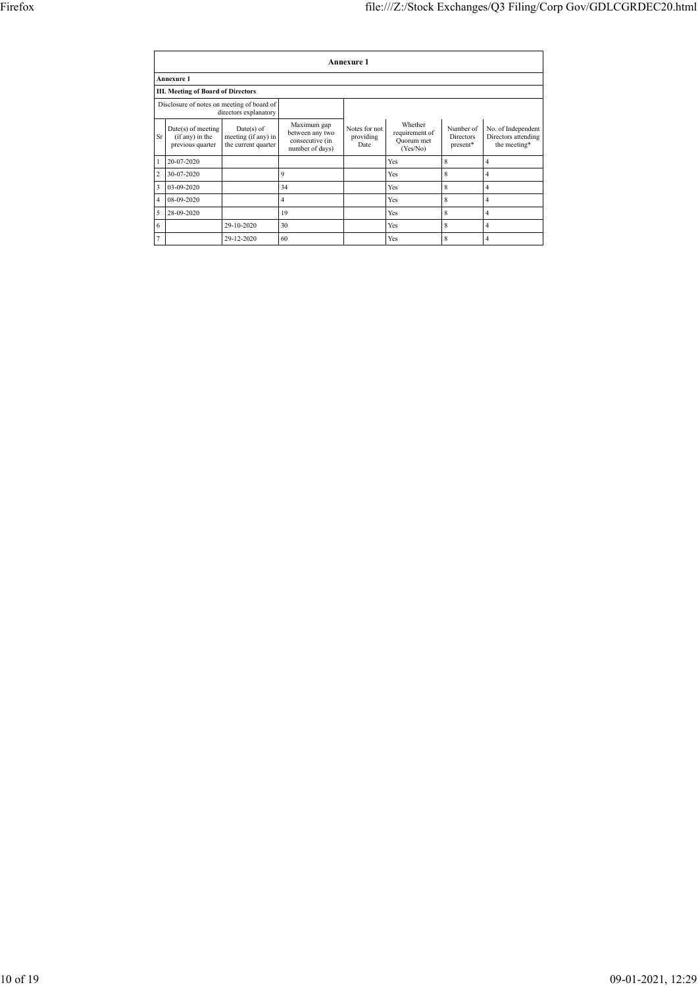|                | <b>Annexure 1</b>                                           |                                                            |                                                                      |                                    |                                                     |                                           |                                                           |  |  |  |  |  |
|----------------|-------------------------------------------------------------|------------------------------------------------------------|----------------------------------------------------------------------|------------------------------------|-----------------------------------------------------|-------------------------------------------|-----------------------------------------------------------|--|--|--|--|--|
|                | <b>Annexure 1</b>                                           |                                                            |                                                                      |                                    |                                                     |                                           |                                                           |  |  |  |  |  |
|                | <b>III. Meeting of Board of Directors</b>                   |                                                            |                                                                      |                                    |                                                     |                                           |                                                           |  |  |  |  |  |
|                | Disclosure of notes on meeting of board of                  | directors explanatory                                      |                                                                      |                                    |                                                     |                                           |                                                           |  |  |  |  |  |
| Sr             | $Date(s)$ of meeting<br>(if any) in the<br>previous quarter | $Date(s)$ of<br>meeting (if any) in<br>the current quarter | Maximum gap<br>between any two<br>consecutive (in<br>number of days) | Notes for not<br>providing<br>Date | Whether<br>requirement of<br>Quorum met<br>(Yes/No) | Number of<br><b>Directors</b><br>present* | No. of Independent<br>Directors attending<br>the meeting* |  |  |  |  |  |
| $\mathbf{1}$   | 20-07-2020                                                  |                                                            |                                                                      |                                    | Yes                                                 | 8                                         | $\overline{4}$                                            |  |  |  |  |  |
| 2              | 30-07-2020                                                  |                                                            | 9                                                                    |                                    | Yes                                                 | 8                                         | $\overline{4}$                                            |  |  |  |  |  |
| 3              | 03-09-2020                                                  |                                                            | 34                                                                   |                                    | Yes                                                 | 8                                         | $\overline{4}$                                            |  |  |  |  |  |
| $\overline{4}$ | 08-09-2020                                                  |                                                            | 4                                                                    |                                    | Yes                                                 | 8                                         | $\overline{4}$                                            |  |  |  |  |  |
| 5              | 28-09-2020                                                  |                                                            | 19                                                                   |                                    | Yes                                                 | 8                                         | 4                                                         |  |  |  |  |  |
| 6              |                                                             | 29-10-2020                                                 | 30                                                                   |                                    | Yes                                                 | 8                                         | $\overline{4}$                                            |  |  |  |  |  |
| $\overline{7}$ |                                                             | 29-12-2020                                                 | 60                                                                   |                                    | Yes                                                 | 8                                         | 4                                                         |  |  |  |  |  |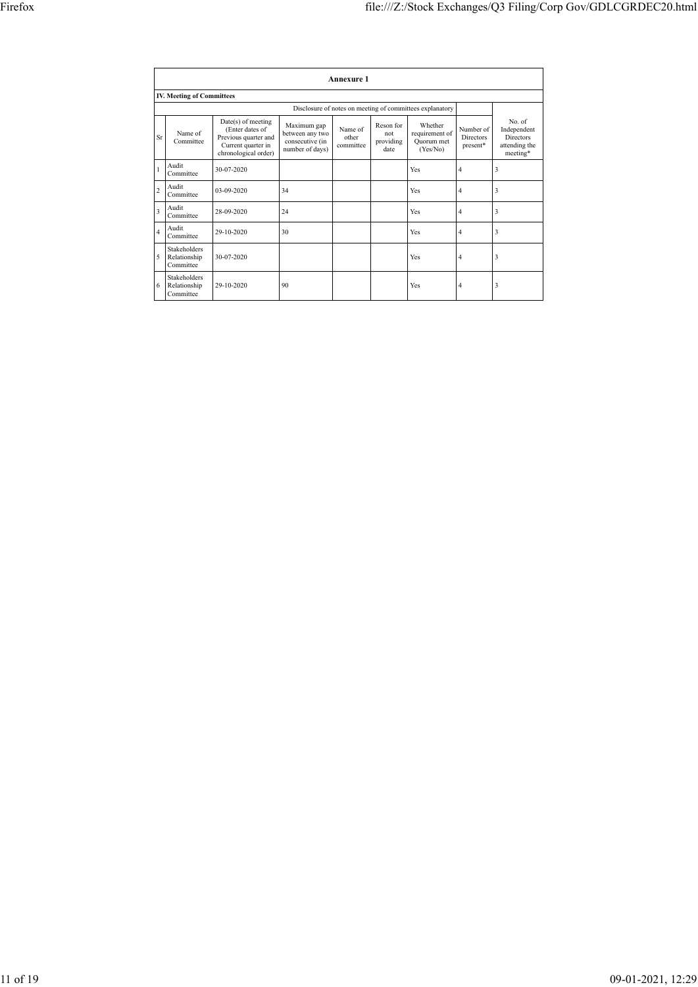|                         |                                                  |                                                                                                             |                                                                      | <b>Annexure 1</b>             |                                       |                                                          |                                           |                                                                        |
|-------------------------|--------------------------------------------------|-------------------------------------------------------------------------------------------------------------|----------------------------------------------------------------------|-------------------------------|---------------------------------------|----------------------------------------------------------|-------------------------------------------|------------------------------------------------------------------------|
|                         | <b>IV. Meeting of Committees</b>                 |                                                                                                             |                                                                      |                               |                                       |                                                          |                                           |                                                                        |
|                         |                                                  |                                                                                                             |                                                                      |                               |                                       | Disclosure of notes on meeting of committees explanatory |                                           |                                                                        |
| Sr                      | Name of<br>Committee                             | Date(s) of meeting<br>(Enter dates of<br>Previous quarter and<br>Current quarter in<br>chronological order) | Maximum gap<br>between any two<br>consecutive (in<br>number of days) | Name of<br>other<br>committee | Reson for<br>not<br>providing<br>date | Whether<br>requirement of<br>Ouorum met<br>(Yes/No)      | Number of<br><b>Directors</b><br>present* | No. of<br>Independent<br><b>Directors</b><br>attending the<br>meeting* |
|                         | Audit<br>Committee                               | 30-07-2020                                                                                                  |                                                                      |                               |                                       | Yes                                                      | 4                                         | 3                                                                      |
| $\overline{2}$          | Audit<br>Committee                               | 03-09-2020                                                                                                  | 34                                                                   |                               |                                       | Yes                                                      | $\overline{4}$                            | 3                                                                      |
| $\overline{\mathbf{3}}$ | Audit<br>Committee                               | 28-09-2020                                                                                                  | 24                                                                   |                               |                                       | Yes                                                      | $\overline{4}$                            | 3                                                                      |
| 4                       | Audit<br>Committee                               | 29-10-2020                                                                                                  | 30                                                                   |                               |                                       | Yes                                                      | $\overline{4}$                            | 3                                                                      |
| 5                       | <b>Stakeholders</b><br>Relationship<br>Committee | 30-07-2020                                                                                                  |                                                                      |                               |                                       | Yes                                                      | 4                                         | 3                                                                      |
| 6                       | <b>Stakeholders</b><br>Relationship<br>Committee | 29-10-2020                                                                                                  | 90                                                                   |                               |                                       | Yes                                                      | $\overline{4}$                            | 3                                                                      |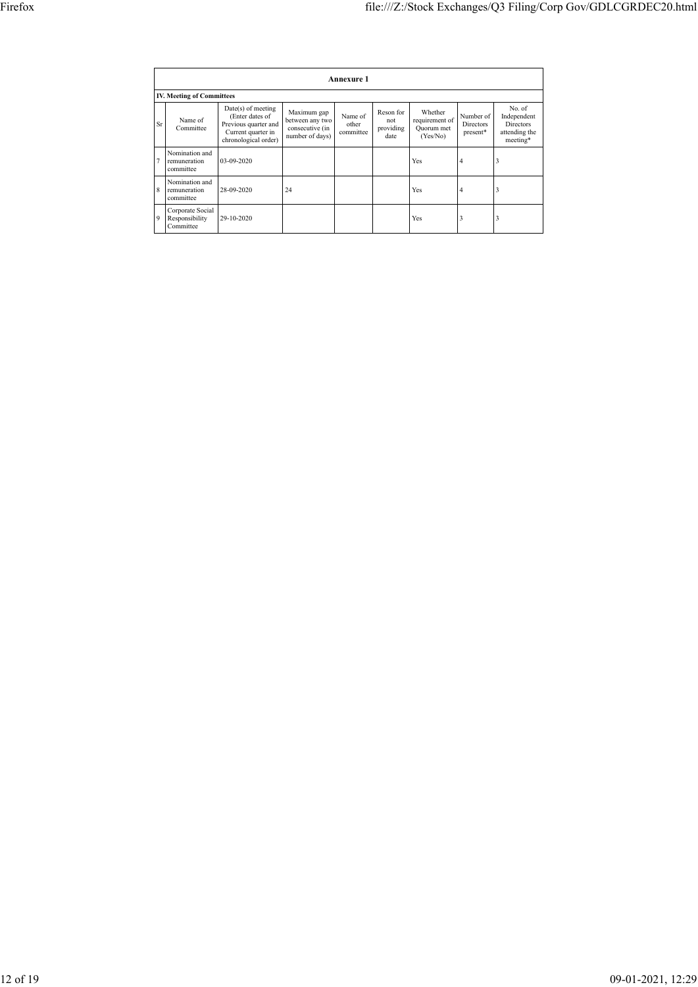|                | <b>Annexure 1</b>                               |                                                                                                             |                                                                      |                               |                                       |                                                     |                                           |                                                                        |  |  |  |  |
|----------------|-------------------------------------------------|-------------------------------------------------------------------------------------------------------------|----------------------------------------------------------------------|-------------------------------|---------------------------------------|-----------------------------------------------------|-------------------------------------------|------------------------------------------------------------------------|--|--|--|--|
|                | <b>IV. Meeting of Committees</b>                |                                                                                                             |                                                                      |                               |                                       |                                                     |                                           |                                                                        |  |  |  |  |
| Sr             | Name of<br>Committee                            | Date(s) of meeting<br>(Enter dates of<br>Previous quarter and<br>Current quarter in<br>chronological order) | Maximum gap<br>between any two<br>consecutive (in<br>number of days) | Name of<br>other<br>committee | Reson for<br>not<br>providing<br>date | Whether<br>requirement of<br>Quorum met<br>(Yes/No) | Number of<br><b>Directors</b><br>present* | No. of<br>Independent<br><b>Directors</b><br>attending the<br>meeting* |  |  |  |  |
| $\overline{7}$ | Nomination and<br>remuneration<br>committee     | 03-09-2020                                                                                                  |                                                                      |                               |                                       | Yes                                                 | 4                                         | 3                                                                      |  |  |  |  |
| 8              | Nomination and<br>remuneration<br>committee     | 28-09-2020                                                                                                  | 24                                                                   |                               |                                       | Yes                                                 | 4                                         | 3                                                                      |  |  |  |  |
| 9              | Corporate Social<br>Responsibility<br>Committee | 29-10-2020                                                                                                  |                                                                      |                               |                                       | Yes                                                 | 3                                         | 3                                                                      |  |  |  |  |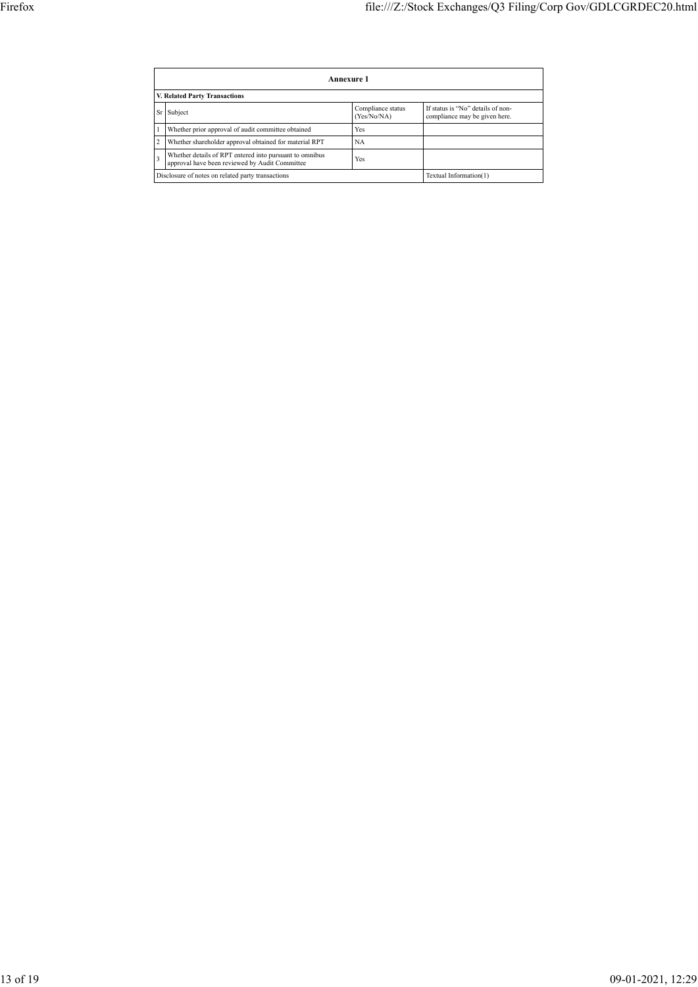|                               | Annexure 1                                                                                                |                                  |                                                                    |  |  |
|-------------------------------|-----------------------------------------------------------------------------------------------------------|----------------------------------|--------------------------------------------------------------------|--|--|
| V. Related Party Transactions |                                                                                                           |                                  |                                                                    |  |  |
| Sr                            | Subject                                                                                                   | Compliance status<br>(Yes/No/NA) | If status is "No" details of non-<br>compliance may be given here. |  |  |
|                               | Whether prior approval of audit committee obtained                                                        | Yes                              |                                                                    |  |  |
|                               | Whether shareholder approval obtained for material RPT                                                    | <b>NA</b>                        |                                                                    |  |  |
|                               | Whether details of RPT entered into pursuant to omnibus<br>approval have been reviewed by Audit Committee | Yes                              |                                                                    |  |  |
|                               | Disclosure of notes on related party transactions                                                         | Textual Information(1)           |                                                                    |  |  |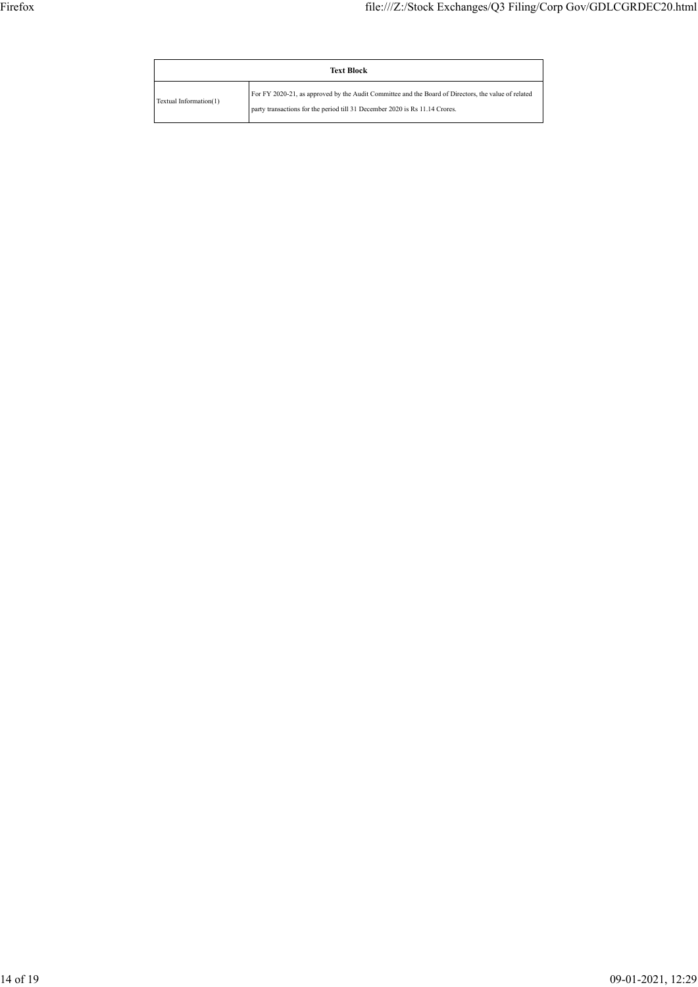|                        | <b>Text Block</b>                                                                                                                                                                  |  |  |
|------------------------|------------------------------------------------------------------------------------------------------------------------------------------------------------------------------------|--|--|
| Textual Information(1) | For FY 2020-21, as approved by the Audit Committee and the Board of Directors, the value of related<br>party transactions for the period till 31 December 2020 is Rs 11.14 Crores. |  |  |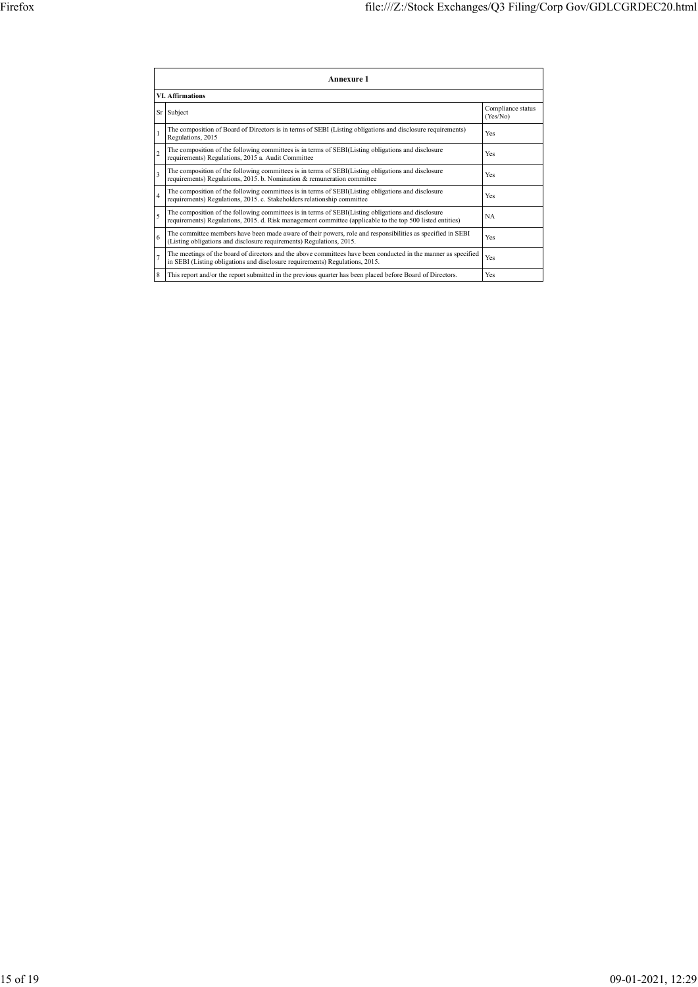|                         | <b>Annexure 1</b>                                                                                                                                                                                               |                               |  |  |  |  |
|-------------------------|-----------------------------------------------------------------------------------------------------------------------------------------------------------------------------------------------------------------|-------------------------------|--|--|--|--|
|                         | <b>VI.</b> Affirmations                                                                                                                                                                                         |                               |  |  |  |  |
| Sr                      | Subject                                                                                                                                                                                                         | Compliance status<br>(Yes/No) |  |  |  |  |
|                         | The composition of Board of Directors is in terms of SEBI (Listing obligations and disclosure requirements)<br>Regulations, 2015                                                                                | Yes                           |  |  |  |  |
| $\overline{c}$          | The composition of the following committees is in terms of SEBI(Listing obligations and disclosure<br>requirements) Regulations, 2015 a. Audit Committee                                                        | Yes                           |  |  |  |  |
| $\overline{\mathbf{3}}$ | The composition of the following committees is in terms of SEBI(Listing obligations and disclosure<br>requirements) Regulations, 2015. b. Nomination & remuneration committee                                   |                               |  |  |  |  |
| $\overline{4}$          | The composition of the following committees is in terms of SEBI(Listing obligations and disclosure<br>requirements) Regulations, 2015. c. Stakeholders relationship committee                                   | Yes                           |  |  |  |  |
| 5                       | The composition of the following committees is in terms of SEBI(Listing obligations and disclosure<br>requirements) Regulations, 2015. d. Risk management committee (applicable to the top 500 listed entities) | <b>NA</b>                     |  |  |  |  |
| 6                       | The committee members have been made aware of their powers, role and responsibilities as specified in SEBI<br>(Listing obligations and disclosure requirements) Regulations, 2015.                              | Yes                           |  |  |  |  |
| a                       | The meetings of the board of directors and the above committees have been conducted in the manner as specified<br>in SEBI (Listing obligations and disclosure requirements) Regulations, 2015.                  |                               |  |  |  |  |
| 8                       | This report and/or the report submitted in the previous quarter has been placed before Board of Directors.                                                                                                      | Yes                           |  |  |  |  |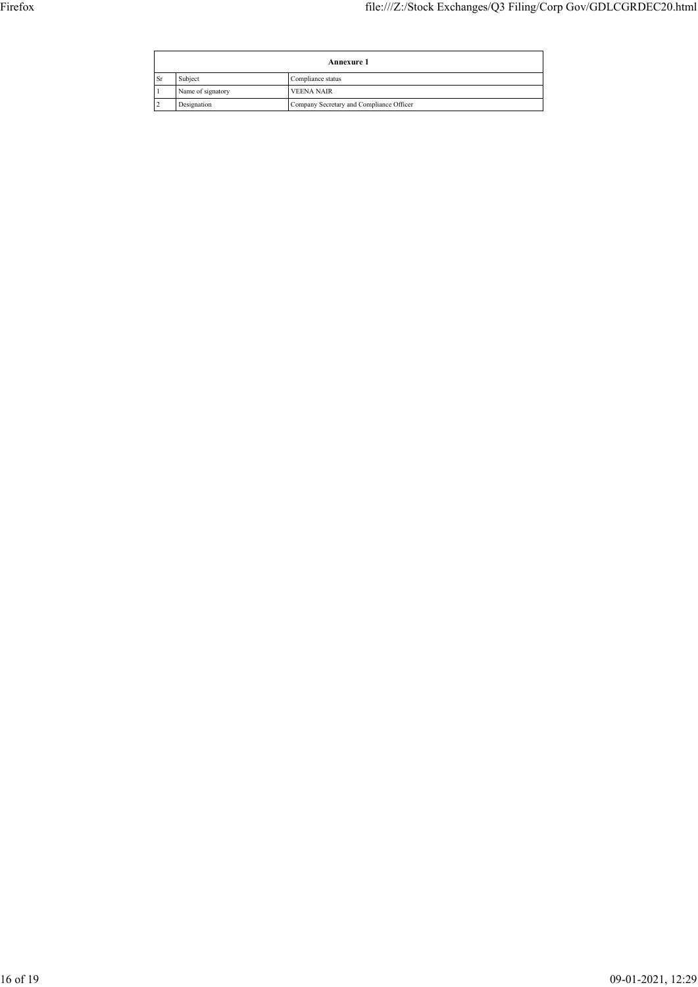|           | <b>Annexure 1</b> |                                          |  |
|-----------|-------------------|------------------------------------------|--|
| <b>Sr</b> | Subject           | Compliance status                        |  |
|           | Name of signatory | VEENA NAIR                               |  |
|           | Designation       | Company Secretary and Compliance Officer |  |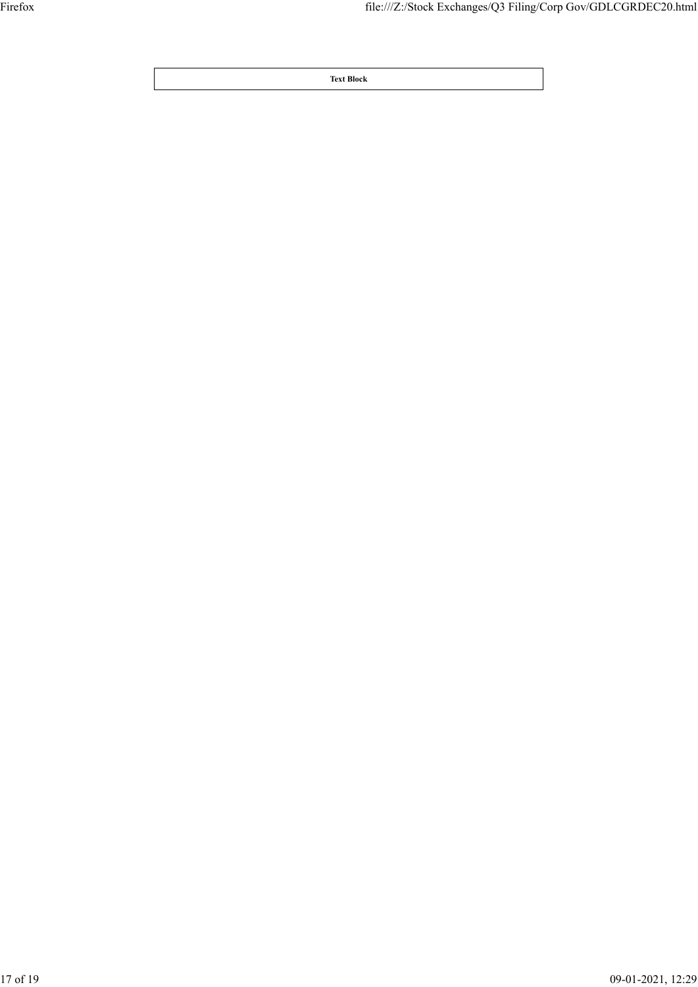**Text Block**